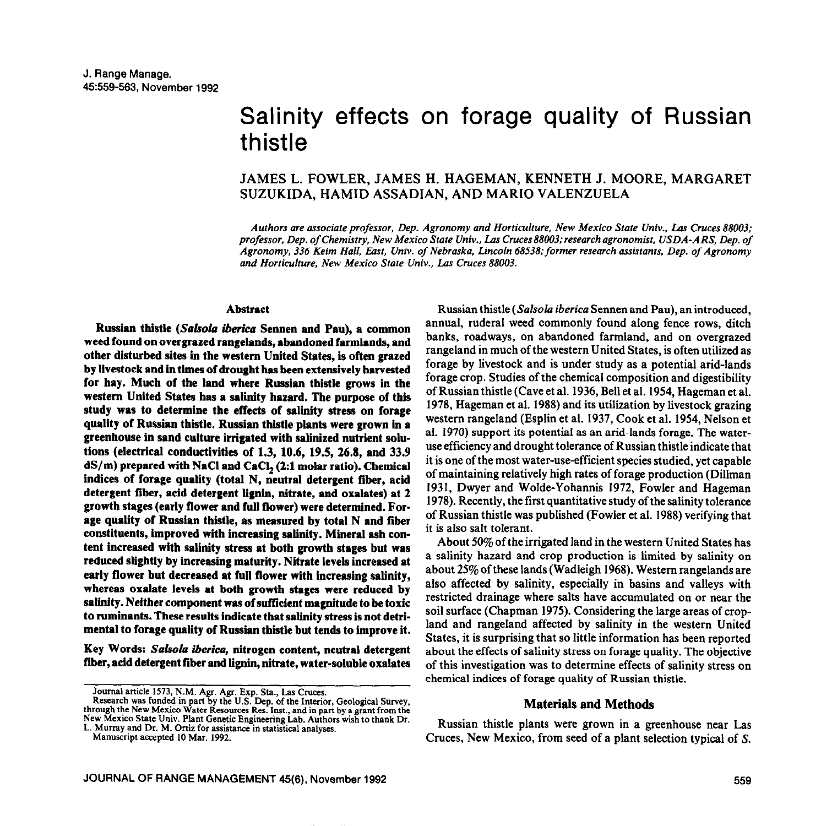# Salinity effects on forage quality of Russian thistle

# JAMES L. FOWLER, JAMES H. HAGEMAN, KENNETH J. MOORE, MARGARET SUZUKIDA, HAMID ASSADIAN, AND MARIO VALENZUELA

*Authors are associate professor, Dep. Agronomy and Horticulture, New Mexico State Univ., Los Cruces 88003; professor. Dep. of Chemistry, New Mexico State Univ., Las Cruces88003;research agronomist, USDA-AR??, Dep. of*  Agronomy, 336 Keim Hall, East, Univ. of Nebraska, Lincoln 68538; former research assistants, Dep. of Agronomy *and Horticulture, New Mexico State Univ., Las Cruces 88003.* 

#### **Abstract**

Russian thistle (Salsola iberica Sennen and Pau), a common **weed found on overgrazed rangelands, abandoned farmlands, and other disturbed sites in the western United States, is often grazed by livestock and in times of drought has been extensively harvested for hay. Much of the land where Russian thistle grows in the western United States has a salinity haxard. The purpose of this study** was **to determine the effects of salinity stress on forage quality of Russian thistle. Russian thistle plants were grown in a**  greenhouse in sand culture irrigated with salinized nutrient solu**tions (electrical conductivities of 1.3, 10.6, 19.5, 26.8, and 33.9 dS/m) prepared with NaCl and CaCl\* (2:l molar ratio). Chemical indices of forage quality (total N, neutral detergent fiber, acid detergent fiber, acid detergent iignin, nitrate, and oxalates) at 2 growth stages (early flower and full flower) were determined. Forage quality of Russian thistle, as measured by total N and fiber constituents, improved with increasing salinity. Mineral ash content increased with salinity stress at both growth stages but was reduced slightly by increasing maturity. Nitrate levels increased at early flower but decreased at full flower with increasing salinity, whereas oxalate levels at both growth stages were reduced by salinity. Neither component was of sufficient magnitude to be toxic to ruminants. These results indicate that salinity stress is not detrimental to forage quality of Russian thistle but tends to improve it.** 

**Key Words:** *Salsola iberica,* **nitrogen content, neutral detergent fiber, acid detergent fiber and lignin, nitrate, water-soluble oxalates** 

Journal article 1573, N.M. Agr. Agr. Exp. Sta., Las Cruces.

Manuscript accepted 10 Mar. 1992.

Russian thistle *(Salsola iberica* Sennen and Pau), an introduced, annual, ruderal weed commonly found along fence rows, ditch banks, roadways, on abandoned farmland, and on overgrazed rangeland in much of the western United States, is often utilized as forage by livestock and is under study as a potential arid-lands forage crop. Studies of the chemical composition and digestibility of Russian thistle (Cave et al. 1936, Bell et al. 1954, Hageman et al. 1978, Hageman et al. 1988) and its utilization by livestock grazing western rangeland (Esplin et al. 1937, Cook et al. 1954, Nelson et al. 1970) support its potential as an arid-lands forage. The wateruse efficiency and drought tolerance of Russian thistle indicate that it is one of the most water-use-efficient species studied, yet capable of maintaining relatively high rates of forage production (Dillman 1931, Dwyer and Wolde-Yohannis 1972, Fowler and Hageman 1978). Recently, the first quantitative study of the salinity tolerance of Russian thistle was published (Fowler et al. 1988) verifying that it is also salt tolerant.

About 50% of the irrigated land in the western United States has a salinity hazard and crop production is limited by salinity on about 25% of these lands (Wadleigh 1968). Western rangelands are also affected by salinity, especially in basins and valleys with restricted drainage where salts have accumulated on or near the soil surface (Chapman 1975). Considering the large areas of cropland and rangeland affected by salinity in the western United States, it is surprising that so little information has been reported about the effects of salinity stress on forage quality. The objective of this investigation was to determine effects of salinity stress on chemical indices of forage quality of Russian thistle.

#### **Materials and Methods**

Russian thistle plants were grown in a greenhouse near Las Cruces, New Mexico, from seed of a plant selection typical of S.

Research was funded in part by the U.S. Dep. of the Interior, Geological Survey, through the New Mexico Water Resources Res. Inst., and in part by a grant from the New Mexico State Univ. Plant Genetic Engineering Lab. Authors wish to thank Dr. L. Murray and Dr. M. Ortiz for assistance in statistical analyses.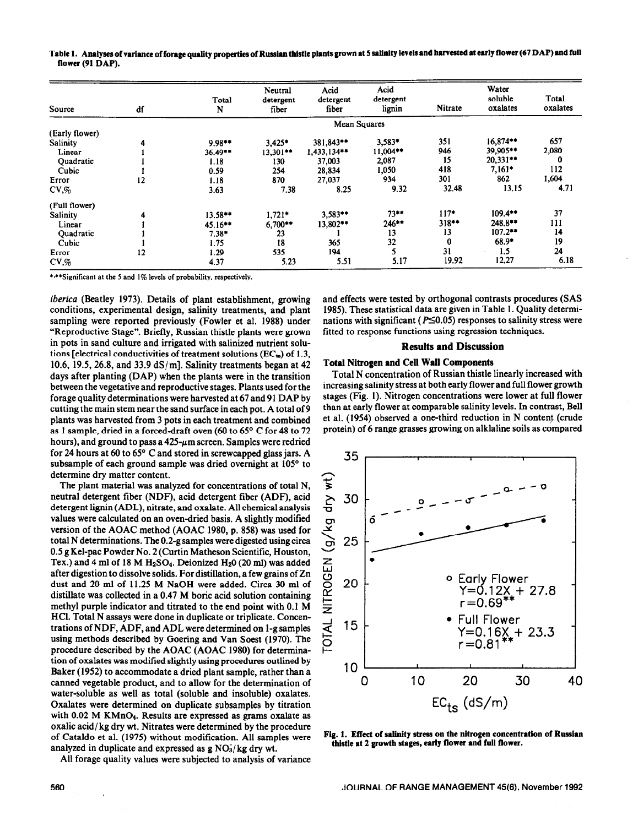Table 1. Analyses of variance of forage quality properties of Russian thistle plants grown at 5 salinity levels and harvested at early flower (67 DAP) and full flower (91 DAP).

| Source          | df | Total<br>N   | Neutral<br>detergent<br>fiber | Acid<br>detergent<br>fiber | Acid<br>detergent<br>lignin | Nitrate | Water<br>soluble<br>oxalates | Total<br>oxalates |
|-----------------|----|--------------|-------------------------------|----------------------------|-----------------------------|---------|------------------------------|-------------------|
|                 |    | Mean Squares |                               |                            |                             |         |                              |                   |
| (Early flower)  |    |              |                               |                            |                             |         |                              |                   |
| Salinity        | 4  | $9.98**$     | $3.425*$                      | 381,843**                  | 3,583*                      | 351     | $16.874**$                   | 657               |
| Linear          |    | $36.49**$    | $13,301**$                    | 1,433,134**                | 11,004**                    | 946     | 39,905**                     | 2,080             |
| Quadratic       |    | 1.18         | 130                           | 37,003                     | 2,087                       | 15      | $20,331**$                   |                   |
| Cubic           |    | 0.59         | 254                           | 28,834                     | 1,050                       | 418     | $7,161*$                     | 112               |
| Error           | 12 | 1.18         | 870                           | 27,037                     | 934                         | 301     | 862                          | 1,604             |
| $CV\mathcal{A}$ |    | 3.63         | 7.38                          | 8.25                       | 9.32                        | 32.48   | 13.15                        | 4.71              |
| (Full flower)   |    |              |                               |                            |                             |         |                              |                   |
| Salinity        | 4  | $13.58**$    | $1,721*$                      | 3,583**                    | $73**$                      | $117*$  | $109.4***$                   | 37                |
| Linear          |    | 45.16**      | $6,700**$                     | 13,802**                   | 246**                       | 318**   | 248.8**                      | 111               |
| Quadratic       |    | $7.38*$      | 23                            |                            | 13                          | 13      | $107.2***$                   | 14                |
| Cubic           |    | 1.75         | 18                            | 365                        | 32                          | 0       | $68.9*$                      | 19                |
| Error           | 12 | 1.29         | 535                           | 194                        | 5                           | 31      | 1.5                          | 24                |
| $CV\mathcal{A}$ |    | 4.37         | 5.23                          | 5.51                       | 5.17                        | 19.92   | 12.27                        | 6.18              |

\*\*\* Significant at the 5 and 1% levels of probability, respectively.

iberica (Beatley 1973). Details of plant establishment, growing conditions, experimental design, salinity treatments, and plant sampling were reported previously (Fowler et al. 1988) under "Reproductive Stage". Briefly, Russian thistle plants were grown in pots in sand culture and irrigated with salinized nutrient solutions [electrical conductivities of treatment solutions (EC $_{\text{ta}}$ ) of 1.3, 10.6, 19.5, 26.8, and 33.9  $dS/m$ ]. Salinity treatments began at 42 days after planting (DAP) when the plants were in the transition between the vegetative and reproductive stages. Plants used for the forage quality determinations were harvested at 67 and 91 DAP by cutting the main stem near the sand surface in each pot. A total of 9 plants was harvested from 3 pots in each treatment and combined as 1 sample, dried in a forced-draft oven (60 to 65° C for 48 to 72 hours), and ground to pass a  $425-\mu m$  screen. Samples were redried for 24 hours at 60 to  $65^{\circ}$  C and stored in screwcapped glass jars. A subsample of each ground sample was dried overnight at 105° to determine dry matter content.

The plant material was analyzed for concentrations of total N, neutral detergent fiber (NDF), acid detergent fiber (ADF), acid detergent lignin (ADL), nitrate, and oxalate. All chemical analysis values were calculated on an oven-dried basis. A slightly modified version of the AOAC method (AOAC 1980, p. 858) was used for total N determinations. The 0.2-g samples were digested using circa 0.5 g Kel-pac Powder No. 2 (Curtin Matheson Scientific, Houston, Tex.) and 4 ml of 18 M  $H_2SO_4$ . Deionized  $H_2O(20 \text{ ml})$  was added after digestion to dissolve solids. For distillation, a few grains of Zn dust and 20 ml of 11.25 M NaOH were added. Circa 30 ml of distillate was collected in a 0.47 M boric acid solution containing methyl purple indicator and titrated to the end point with 0.1 M HCl. Total N assays were done in duplicate or triplicate. Concentrations of NDF, ADF, and ADL were determined on 1-g samples using methods described by Goering and Van Soest (1970). The procedure described by the AOAC (AOAC 1980) for determination of oxalates was modified slightly using procedures outlined by Baker (1952) to accommodate a dried plant sample, rather than a canned vegetable product, and to allow for the determination of water-soluble as well as total (soluble and insoluble) oxalates. Oxalates were determined on duplicate subsamples by titration with 0.02 M KMnO<sub>4</sub>. Results are expressed as grams oxalate as oxalic acid/kg dry wt. Nitrates were determined by the procedure of Cataldo et al. (1975) without modification. All samples were analyzed in duplicate and expressed as  $g \text{ NO}_3$ /kg dry wt.

All forage quality values were subjected to analysis of variance

and effects were tested by orthogonal contrasts procedures (SAS 1985). These statistical data are given in Table 1. Quality determinations with significant ( $P \le 0.05$ ) responses to salinity stress were fitted to response functions using regression techniques.

# **Results and Discussion**

## **Total Nitrogen and Cell Wall Components**

Total N concentration of Russian thistle linearly increased with increasing salinity stress at both early flower and full flower growth stages (Fig. 1). Nitrogen concentrations were lower at full flower than at early flower at comparable salinity levels. In contrast, Bell et al. (1954) observed a one-third reduction in N content (crude protein) of 6 range grasses growing on alklaline soils as compared



Fig. 1. Effect of salinity stress on the nitrogen concentration of Russian thistle at 2 growth stages, early flower and full flower.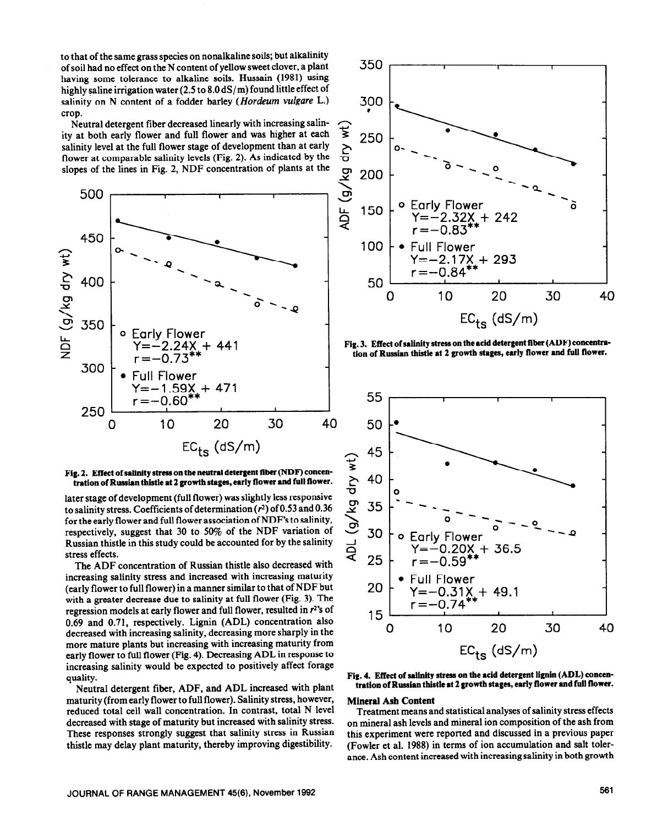to that of the same grass species on nonalkaline soils; but alkalinity of soil had no effect on the N content of yellow sweet clover, a plant having some tolerance to alkaline soils. Hussain (1981) using highly saline irrigation water (2.5 to 8.0 dS/m) found little effect of salinity on N content of a fodder barley *(Hordeum vulgare* L.) crop.

Neutral detergent fiber decreased linearly with increasing salinity at both early flower and full flower and was higher at each salinity level at the full flower stage of development than at early flower at comparable salinity levels (Fig. 2). As indicated by the slopes of the lines in Fig. 2, NDF concentration of plants at the



#### Fig. 2. Effect of salinity stress on the neutral detergent fiber (NDF) concen**tration of Russian thistle at 2 growth stages, early flower and full flower.**

later stage of development (full flower) was slightly less responsive to salinity stress. Coefficients of determination  $(r^2)$  of 0.53 and 0.36 for the early flower and full flower association of NDF's to salinity, respectively, suggest that 30 to 50% of the NDF variation of Russian thistle in this study could be accounted for by the salinity stress effects.

The ADF concentration of Russian thistle also decreased with increasing salinity stress and increased with increasing maturity (early flower to full flower) in a manner similar to that of NDF but with a greater decrease due to salinity at full flower (Fig. 3). The regression models at early flower and full flower, resulted in  $r^2$ 's of 0.69 and 0.71, respectively. Lignin (ADL) concentration also decreased with increasing salinity, decreasing more sharply in the more mature plants but increasing with increasing maturity from early flower to full flower (Fig. 4). Decreasing ADL in response to increasing salinity would be expected to positively affect forage quality.

Neutral detergent fiber, ADF, and ADL increased with plant maturity (from early flower to full flower). Salinity stress, however, reduced total cell wall concentration. In contrast, total N level decreased with stage of maturity but increased with salinity stress. These responses strongly suggest that salinity stress in Russian thistle may delay plant maturity, thereby improving digestibility.



**Fig. 3. Effect of salinity stress on the acid detergent fiber (ADF) concentration of Russian thistle at 2 growth stages, early flower and full 5ower.** 



### **Fig. 4. Effect of salinity stress on the acid detergent lignin (ADL) concentration of Russian thistle at 2 growth** stages, **early flower and full 5ower.**

#### **Mineral Ash Content**

Treatment means and statistical analyses of salinity stress effects on mineral ash levels and mineral ion composition of the ash from this experiment were reported and discussed in a previous paper (Fowler et al. 1988) in terms of ion accumulation and salt tolerance. Ash content increased with increasing salinity in both growth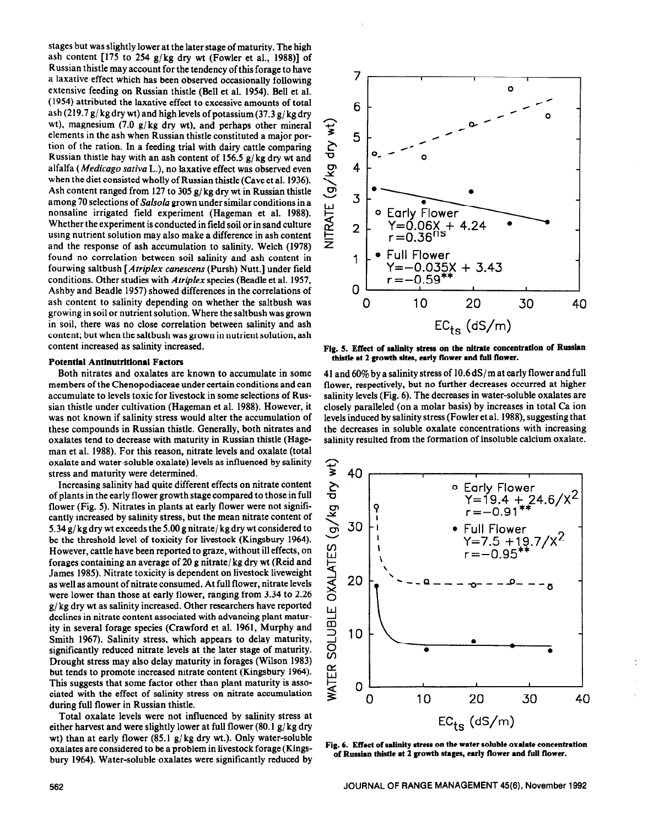stages but was slightly lower at the later stage of maturity. The high ash content  $[175$  to 254 g/kg dry wt (Fowler et al., 1988)] of Russian thistle may account for the tendency of this forage to have a laxative effect which has been observed occasionally following extensive feeding on Russian thistle (Bell et al. 1954). Bell et al. ( 1954) attributed the laxative effect to excessive amounts of total ash (219.7 g/ kg dry wt) and high levels of potassium (37.3 g/ kg dry wt), magnesium (7.0 g/kg dry wt), and perhaps other mineral elements in the ash when Russian thistle constituted a major portion of the ration. In a feeding trial with dairy cattle comparing Russian thistle hay with an ash content of 156.5 g/kg dry wt and alfalfa *(Medicago sativa* L.), no laxative effect was observed even when the diet consisted wholly of Russian thistle (Cave et al. 1936). Ash content ranged from 127 to 305 g/kg dry wt in Russian thistle among 70 selections of Salsola grown under similar conditions in a nonsaline irrigated field experiment (Hageman et al. 1988). Whether the experiment is conducted in field soil or in sand culture using nutrient solution may also make a difference in ash content and the response of ash accumulation to salinity. Welch (1978) found no correlation between soil salinity and ash content in fourwing saltbush *[Atriplex cunescens* (Pursh) Nutt.] under field conditions. Other studies with *Atriplex* species (Beadle et al. 1957, Ashby and Beadle 1957) showed differences in the correlations of ash content to salinity depending on whether the saltbush was growing in soil or nutrient solution. Where the saltbush was grown in soil, there was no close correlation between salinity and ash content; but when the saltbush was grown in nutrient solution, ash content increased as salinity increased.

Both nitrates and oxalates are known to accumulate in some members of the Chenopodiaceae under certain conditions and can accumulate to levels toxic for livestock in some selections of Russian thistle under cultivation (Hageman et al. 1988). However, it was not known if salinity stress would alter the accumulation of these compounds in Russian thistle. Generally, both nitrates and oxalates tend to decrease with maturity in Russian thistle (Hageman et al. 1988). For this reason, nitrate levels and oxalate (total oxalate and water-soluble oxalate) levels as influenced by salinity stress and maturity were determined.

Increasing salinity had quite different effects on nitrate content of plants in the early flower growth stage compared to those in full flower (Fig. 5). Nitrates in plants at early flower were not significantly increased by salinity stress, but the mean nitrate content of 5.34 g/kg dry wt exceeds the 5.00 g nitrate/ kgdry wt considered to be the threshold level of toxicity for livestock (Kingsbury 1964). However, cattle have been reported to graze, without ill effects, on forages containing an average of 20 g nitrate/ kg dry wt (Reid and James 1985). Nitrate toxicity is dependent on livestock liveweight as well as amount of nitrate consumed. At full flower, nitrate levels were lower than those at early flower, ranging from 3.34 to 2.26 g/kg dry wt as salinity increased. Other researchers have reported declines in nitrate content associated with advancing plant maturity in several forage species (Crawford et al. 1961, Murphy and Smith 1967). Salinity stress, which appears to delay maturity, significantly reduced nitrate levels at the later stage of maturity. Drought stress may also delay maturity in forages (Wilson 1983) but tends to promote increased nitrate content (Kingsbury 1964). This suggests that some factor other than plant maturity is associated with the effect of salinity stress on nitrate accumulation during full flower in Russian thistle.

Total oxalate levels were not influenced by salinity stress at either harvest and were slightly lower at full flower  $(80.1 \text{ g/kg} \text{ dry})$ wt) than at early flower  $(85.1 \text{ g/kg} \text{ dry wt.})$ . Only water-soluble oxalates are considered to be a problem in livestock forage (Kingsbury 1964). Water-soluble oxalates were significantly reduced by



**Fig. 5. Effect of salinity stress on the nitrate concentration of Russian**  Potential Antinutritional Factors *Potential Antinutritional Factors in thistle at 2 growth sites, early flower and full flower.* 

41 and 60% by a salinity stress of 10.6 dS/ m at early flower and full flower, respectively, but no further decreases occurred at higher salinity levels (Fig. 6). The decreases in water-soluble oxalates are closely paralleled (on a molar basis) by increases in total Ca ion levels induced by salinity stress (Fowler et al. 1988), suggesting that the decreases in soluble oxalate concentrations with increasing salinity resulted from the formation of insoluble calcium oxalate.



**Fig. 6. Effect of sslinity stress on the water soluble oxalate concentration**  of Russian thistle at 2 growth stages, early flower and full flower.